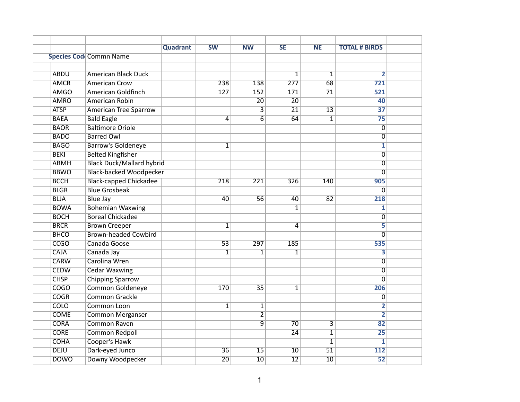|             |                                  | Quadrant | <b>SW</b>       | $\overline{\text{NW}}$  | <b>SE</b>        | <b>NE</b>               | <b>TOTAL # BIRDS</b>      |  |
|-------------|----------------------------------|----------|-----------------|-------------------------|------------------|-------------------------|---------------------------|--|
|             | <b>Species Code Commn Name</b>   |          |                 |                         |                  |                         |                           |  |
|             |                                  |          |                 |                         |                  |                         |                           |  |
| <b>ABDU</b> | <b>American Black Duck</b>       |          |                 |                         | $\mathbf{1}$     | $\overline{1}$          | $\overline{2}$            |  |
| <b>AMCR</b> | <b>American Crow</b>             |          | 238             | 138                     | $\overline{277}$ | 68                      | 721                       |  |
| <b>AMGO</b> | American Goldfinch               |          | 127             | 152                     | 171              | $\overline{71}$         | 521                       |  |
| <b>AMRO</b> | American Robin                   |          |                 | $\overline{20}$         | $\overline{20}$  |                         | 40                        |  |
| <b>ATSP</b> | <b>American Tree Sparrow</b>     |          |                 | $\overline{\mathbf{3}}$ | $\overline{21}$  | $\overline{13}$         | $\overline{37}$           |  |
| <b>BAEA</b> | <b>Bald Eagle</b>                |          | 4               | $\overline{6}$          | 64               | $\overline{\mathbf{1}}$ | $\overline{75}$           |  |
| <b>BAOR</b> | <b>Baltimore Oriole</b>          |          |                 |                         |                  |                         | $\overline{0}$            |  |
| <b>BADO</b> | <b>Barred Owl</b>                |          |                 |                         |                  |                         | $\overline{\mathfrak{o}}$ |  |
| <b>BAGO</b> | <b>Barrow's Goldeneye</b>        |          | $\overline{1}$  |                         |                  |                         | $\overline{\mathbf{1}}$   |  |
| <b>BEKI</b> | <b>Belted Kingfisher</b>         |          |                 |                         |                  |                         | $\overline{\mathfrak{o}}$ |  |
| <b>ABMH</b> | <b>Black Duck/Mallard hybrid</b> |          |                 |                         |                  |                         | $\overline{0}$            |  |
| <b>BBWO</b> | <b>Black-backed Woodpecker</b>   |          |                 |                         |                  |                         | $\overline{0}$            |  |
| <b>BCCH</b> | <b>Black-capped Chickadee</b>    |          | 218             | 221                     | 326              | 140                     | 905                       |  |
| <b>BLGR</b> | <b>Blue Grosbeak</b>             |          |                 |                         |                  |                         | $\overline{0}$            |  |
| <b>BLJA</b> | <b>Blue Jay</b>                  |          | 40              | 56                      | 40               | 82                      | 218                       |  |
| <b>BOWA</b> | <b>Bohemian Waxwing</b>          |          |                 |                         | 1                |                         | $\overline{\mathbf{1}}$   |  |
| <b>BOCH</b> | <b>Boreal Chickadee</b>          |          |                 |                         |                  |                         | $\overline{0}$            |  |
| <b>BRCR</b> | <b>Brown Creeper</b>             |          | $\mathbf{1}$    |                         | 4                |                         | 5                         |  |
| <b>BHCO</b> | <b>Brown-headed Cowbird</b>      |          |                 |                         |                  |                         | 0                         |  |
| <b>CCGO</b> | Canada Goose                     |          | $\overline{53}$ | 297                     | 185              |                         | 535                       |  |
| <b>CAJA</b> | Canada Jay                       |          | $\mathbf{1}$    | 1                       | 1                |                         | $\overline{\mathbf{3}}$   |  |
| <b>CARW</b> | Carolina Wren                    |          |                 |                         |                  |                         | 0                         |  |
| <b>CEDW</b> | <b>Cedar Waxwing</b>             |          |                 |                         |                  |                         | 0                         |  |
| <b>CHSP</b> | <b>Chipping Sparrow</b>          |          |                 |                         |                  |                         | 0                         |  |
| <b>COGO</b> | Common Goldeneye                 |          | 170             | $\overline{35}$         | $\mathbf{1}$     |                         | 206                       |  |
| <b>COGR</b> | <b>Common Grackle</b>            |          |                 |                         |                  |                         | 0                         |  |
| <b>COLO</b> | Common Loon                      |          | $\overline{1}$  | $\overline{1}$          |                  |                         | $\overline{\mathbf{2}}$   |  |
| <b>COME</b> | <b>Common Merganser</b>          |          |                 | $\overline{2}$          |                  |                         | $\overline{\mathbf{2}}$   |  |
| <b>CORA</b> | <b>Common Raven</b>              |          |                 | $\overline{9}$          | $\overline{70}$  | $\overline{\mathbf{3}}$ | $\overline{82}$           |  |
| <b>CORE</b> | <b>Common Redpoll</b>            |          |                 |                         | $\overline{24}$  | $\overline{1}$          | 25                        |  |
| <b>COHA</b> | Cooper's Hawk                    |          |                 |                         |                  | $\overline{1}$          | $\overline{\mathbf{1}}$   |  |
| <b>DEJU</b> | Dark-eyed Junco                  |          | $\overline{36}$ | $\overline{15}$         | $\overline{10}$  | $\overline{51}$         | 112                       |  |
| <b>DOWO</b> | Downy Woodpecker                 |          | $\overline{20}$ | $\overline{10}$         | $\overline{12}$  | $\overline{10}$         | $\overline{52}$           |  |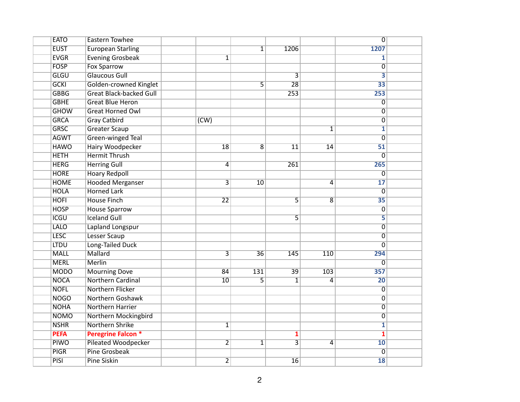| <b>EATO</b> | <b>Eastern Towhee</b>          |                         |                 |                         |                 | $\overline{0}$            |  |
|-------------|--------------------------------|-------------------------|-----------------|-------------------------|-----------------|---------------------------|--|
| <b>EUST</b> | <b>European Starling</b>       |                         | $\overline{1}$  | 1206                    |                 | 1207                      |  |
| <b>EVGR</b> | <b>Evening Grosbeak</b>        | $\mathbf{1}$            |                 |                         |                 | 1                         |  |
| <b>FOSP</b> | <b>Fox Sparrow</b>             |                         |                 |                         |                 | $\overline{0}$            |  |
| <b>GLGU</b> | <b>Glaucous Gull</b>           |                         |                 | $\overline{3}$          |                 | $\overline{\mathbf{3}}$   |  |
| <b>GCKI</b> | Golden-crowned Kinglet         |                         | $\overline{5}$  | 28                      |                 | $\overline{33}$           |  |
| <b>GBBG</b> | <b>Great Black-backed Gull</b> |                         |                 | 253                     |                 | 253                       |  |
| <b>GBHE</b> | <b>Great Blue Heron</b>        |                         |                 |                         |                 | $\overline{0}$            |  |
| <b>GHOW</b> | <b>Great Horned Owl</b>        |                         |                 |                         |                 | 0                         |  |
| <b>GRCA</b> | <b>Gray Catbird</b>            | (CW)                    |                 |                         |                 | $\overline{0}$            |  |
| <b>GRSC</b> | <b>Greater Scaup</b>           |                         |                 |                         | $\overline{1}$  | $\overline{\mathbf{1}}$   |  |
| <b>AGWT</b> | Green-winged Teal              |                         |                 |                         |                 | $\overline{0}$            |  |
| <b>HAWO</b> | <b>Hairy Woodpecker</b>        | $\overline{18}$         | $\overline{8}$  | $\overline{11}$         | $\overline{14}$ | $\overline{51}$           |  |
| <b>HETH</b> | <b>Hermit Thrush</b>           |                         |                 |                         |                 | $\overline{\mathfrak{o}}$ |  |
| <b>HERG</b> | <b>Herring Gull</b>            | 4                       |                 | 261                     |                 | 265                       |  |
| <b>HORE</b> | <b>Hoary Redpoll</b>           |                         |                 |                         |                 | $\overline{0}$            |  |
| <b>HOME</b> | <b>Hooded Merganser</b>        | $\overline{3}$          | 10              |                         | 4               | $\overline{17}$           |  |
| <b>HOLA</b> | <b>Horned Lark</b>             |                         |                 |                         |                 | $\mathbf{0}$              |  |
| <b>HOFI</b> | <b>House Finch</b>             | $\overline{22}$         |                 | $\overline{\mathsf{5}}$ | 8               | $\overline{35}$           |  |
| <b>HOSP</b> | <b>House Sparrow</b>           |                         |                 |                         |                 | 0                         |  |
| <b>ICGU</b> | <b>Iceland Gull</b>            |                         |                 | $\overline{\mathsf{5}}$ |                 | 5                         |  |
| <b>LALO</b> | Lapland Longspur               |                         |                 |                         |                 | 0                         |  |
| <b>LESC</b> | Lesser Scaup                   |                         |                 |                         |                 | 0                         |  |
| <b>LTDU</b> | Long-Tailed Duck               |                         |                 |                         |                 | 0                         |  |
| <b>MALL</b> | Mallard                        | $\overline{\mathsf{3}}$ | $\overline{36}$ | 145                     | 110             | 294                       |  |
| <b>MERL</b> | <b>Merlin</b>                  |                         |                 |                         |                 | $\overline{0}$            |  |
| <b>MODO</b> | <b>Mourning Dove</b>           | 84                      | 131             | 39                      | 103             | 357                       |  |
| <b>NOCA</b> | Northern Cardinal              | 10                      | 5               | $\mathbf{1}$            | 4               | $\overline{20}$           |  |
| <b>NOFL</b> | Northern Flicker               |                         |                 |                         |                 | 0                         |  |
| <b>NOGO</b> | Northern Goshawk               |                         |                 |                         |                 | $\overline{0}$            |  |
| <b>NOHA</b> | <b>Northern Harrier</b>        |                         |                 |                         |                 | $\overline{0}$            |  |
| <b>NOMO</b> | <b>Northern Mockingbird</b>    |                         |                 |                         |                 | $\overline{0}$            |  |
| <b>NSHR</b> | <b>Northern Shrike</b>         | $\overline{\mathbf{1}}$ |                 |                         |                 | $\overline{\mathbf{1}}$   |  |
| <b>PEFA</b> | <b>Peregrine Falcon *</b>      |                         |                 | $\overline{\mathbf{1}}$ |                 | $\overline{\mathbf{1}}$   |  |
| <b>PIWO</b> | <b>Pileated Woodpecker</b>     | $\overline{2}$          | $\overline{1}$  | $\overline{3}$          | $\overline{4}$  | $\overline{10}$           |  |
| <b>PIGR</b> | <b>Pine Grosbeak</b>           |                         |                 |                         |                 | $\overline{0}$            |  |
| <b>PISI</b> | <b>Pine Siskin</b>             | $\overline{2}$          |                 | $\overline{16}$         |                 | 18                        |  |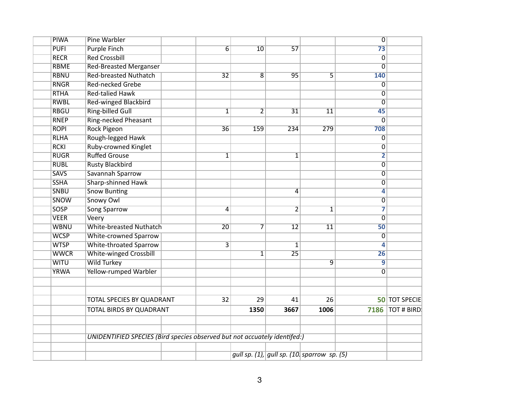| <b>PIWA</b> | <b>Pine Warbler</b>                                                       |  |                         |                |                 |                                             | $\overline{0}$            |                      |
|-------------|---------------------------------------------------------------------------|--|-------------------------|----------------|-----------------|---------------------------------------------|---------------------------|----------------------|
| <b>PUFI</b> | <b>Purple Finch</b>                                                       |  | $\overline{6}$          | 10             | $\overline{57}$ |                                             | $\overline{73}$           |                      |
| <b>RECR</b> | <b>Red Crossbill</b>                                                      |  |                         |                |                 |                                             | $\overline{\mathfrak{o}}$ |                      |
| <b>RBME</b> | <b>Red-Breasted Merganser</b>                                             |  |                         |                |                 |                                             | 0                         |                      |
| <b>RBNU</b> | <b>Red-breasted Nuthatch</b>                                              |  | $\overline{32}$         | $\overline{8}$ | 95              | $\overline{5}$                              | 140                       |                      |
| <b>RNGR</b> | <b>Red-necked Grebe</b>                                                   |  |                         |                |                 |                                             | $\overline{0}$            |                      |
| <b>RTHA</b> | <b>Red-talied Hawk</b>                                                    |  |                         |                |                 |                                             | $\overline{0}$            |                      |
| <b>RWBL</b> | <b>Red-winged Blackbird</b>                                               |  |                         |                |                 |                                             | 0                         |                      |
| <b>RBGU</b> | <b>Ring-billed Gull</b>                                                   |  | $\overline{1}$          | $\overline{2}$ | $\overline{31}$ | $\overline{11}$                             | 45                        |                      |
| <b>RNEP</b> | Ring-necked Pheasant                                                      |  |                         |                |                 |                                             | $\overline{0}$            |                      |
| <b>ROPI</b> | <b>Rock Pigeon</b>                                                        |  | $\overline{36}$         | 159            | 234             | 279                                         | 708                       |                      |
| <b>RLHA</b> | Rough-legged Hawk                                                         |  |                         |                |                 |                                             | $\overline{0}$            |                      |
| <b>RCKI</b> | Ruby-crowned Kinglet                                                      |  |                         |                |                 |                                             | 0                         |                      |
| <b>RUGR</b> | <b>Ruffed Grouse</b>                                                      |  | $\mathbf{1}$            |                | 1               |                                             | $\overline{2}$            |                      |
| <b>RUBL</b> | <b>Rusty Blackbird</b>                                                    |  |                         |                |                 |                                             | 0                         |                      |
| <b>SAVS</b> | Savannah Sparrow                                                          |  |                         |                |                 |                                             | 0                         |                      |
| <b>SSHA</b> | Sharp-shinned Hawk                                                        |  |                         |                |                 |                                             | $\overline{0}$            |                      |
| <b>SNBU</b> | <b>Snow Bunting</b>                                                       |  |                         |                | 4               |                                             | $\overline{\bf 4}$        |                      |
| <b>SNOW</b> | Snowy Owl                                                                 |  |                         |                |                 |                                             | $\overline{0}$            |                      |
| <b>SOSP</b> | <b>Song Sparrow</b>                                                       |  | 4                       |                | $\overline{2}$  | 1                                           | 7                         |                      |
| <b>VEER</b> | Veery                                                                     |  |                         |                |                 |                                             | $\overline{0}$            |                      |
| <b>WBNU</b> | <b>White-breasted Nuthatch</b>                                            |  | $\overline{20}$         | 7              | $\overline{12}$ | $\overline{11}$                             | 50                        |                      |
| <b>WCSP</b> | <b>White-crowned Sparrow</b>                                              |  |                         |                |                 |                                             | 0                         |                      |
| <b>WTSP</b> | <b>White-throated Sparrow</b>                                             |  | $\overline{\mathsf{3}}$ |                | $\mathbf{1}$    |                                             | 4                         |                      |
| <b>WWCR</b> | <b>White-winged Crossbill</b>                                             |  |                         | $\mathbf{1}$   | $\overline{25}$ |                                             | $\overline{26}$           |                      |
| <b>WITU</b> | <b>Wild Turkey</b>                                                        |  |                         |                |                 | $\overline{9}$                              | $\overline{9}$            |                      |
| <b>YRWA</b> | <b>Yellow-rumped Warbler</b>                                              |  |                         |                |                 |                                             | $\overline{0}$            |                      |
|             |                                                                           |  |                         |                |                 |                                             |                           |                      |
|             | TOTAL SPECIES BY QUADRANT<br>TOTAL BIRDS BY QUADRANT                      |  | 32                      | 29             | 41              | 26                                          |                           | <b>50 TOT SPECIE</b> |
|             |                                                                           |  |                         | 1350           | 3667            | 1006                                        | 7186                      | <b>TOT # BIRD</b>    |
|             | UNIDENTIFIED SPECIES (Bird species observed but not accuately identifed:) |  |                         |                |                 |                                             |                           |                      |
|             |                                                                           |  |                         |                |                 |                                             |                           |                      |
|             |                                                                           |  |                         |                |                 | gull sp. (1), gull sp. (10. sparrow sp. (5) |                           |                      |